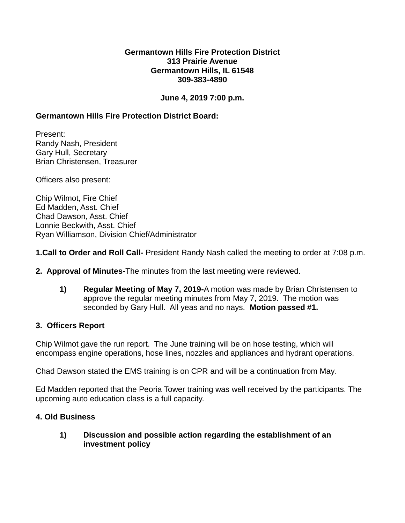### **Germantown Hills Fire Protection District 313 Prairie Avenue Germantown Hills, IL 61548 309-383-4890**

## **June 4, 2019 7:00 p.m.**

# **Germantown Hills Fire Protection District Board:**

Present: Randy Nash, President Gary Hull, Secretary Brian Christensen, Treasurer

Officers also present:

Chip Wilmot, Fire Chief Ed Madden, Asst. Chief Chad Dawson, Asst. Chief Lonnie Beckwith, Asst. Chief Ryan Williamson, Division Chief/Administrator

## **1.Call to Order and Roll Call-** President Randy Nash called the meeting to order at 7:08 p.m.

- **2. Approval of Minutes-**The minutes from the last meeting were reviewed.
	- **1) Regular Meeting of May 7, 2019-**A motion was made by Brian Christensen to approve the regular meeting minutes from May 7, 2019. The motion was seconded by Gary Hull. All yeas and no nays. **Motion passed #1.**

#### **3. Officers Report**

Chip Wilmot gave the run report. The June training will be on hose testing, which will encompass engine operations, hose lines, nozzles and appliances and hydrant operations.

Chad Dawson stated the EMS training is on CPR and will be a continuation from May.

Ed Madden reported that the Peoria Tower training was well received by the participants. The upcoming auto education class is a full capacity.

## **4. Old Business**

## **1) Discussion and possible action regarding the establishment of an investment policy**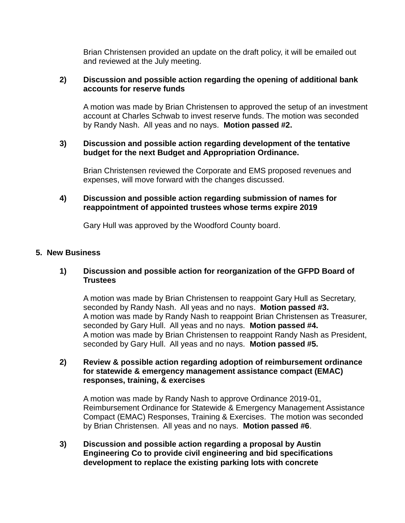Brian Christensen provided an update on the draft policy, it will be emailed out and reviewed at the July meeting.

## **2) Discussion and possible action regarding the opening of additional bank accounts for reserve funds**

A motion was made by Brian Christensen to approved the setup of an investment account at Charles Schwab to invest reserve funds. The motion was seconded by Randy Nash. All yeas and no nays. **Motion passed #2.**

## **3) Discussion and possible action regarding development of the tentative budget for the next Budget and Appropriation Ordinance.**

Brian Christensen reviewed the Corporate and EMS proposed revenues and expenses, will move forward with the changes discussed.

## **4) Discussion and possible action regarding submission of names for reappointment of appointed trustees whose terms expire 2019**

Gary Hull was approved by the Woodford County board.

### **5. New Business**

### **1) Discussion and possible action for reorganization of the GFPD Board of Trustees**

A motion was made by Brian Christensen to reappoint Gary Hull as Secretary, seconded by Randy Nash. All yeas and no nays. **Motion passed #3.** A motion was made by Randy Nash to reappoint Brian Christensen as Treasurer, seconded by Gary Hull. All yeas and no nays. **Motion passed #4.** A motion was made by Brian Christensen to reappoint Randy Nash as President, seconded by Gary Hull. All yeas and no nays. **Motion passed #5.**

## **2) Review & possible action regarding adoption of reimbursement ordinance for statewide & emergency management assistance compact (EMAC) responses, training, & exercises**

A motion was made by Randy Nash to approve Ordinance 2019-01, Reimbursement Ordinance for Statewide & Emergency Management Assistance Compact (EMAC) Responses, Training & Exercises. The motion was seconded by Brian Christensen. All yeas and no nays. **Motion passed #6**.

**3) Discussion and possible action regarding a proposal by Austin Engineering Co to provide civil engineering and bid specifications development to replace the existing parking lots with concrete**